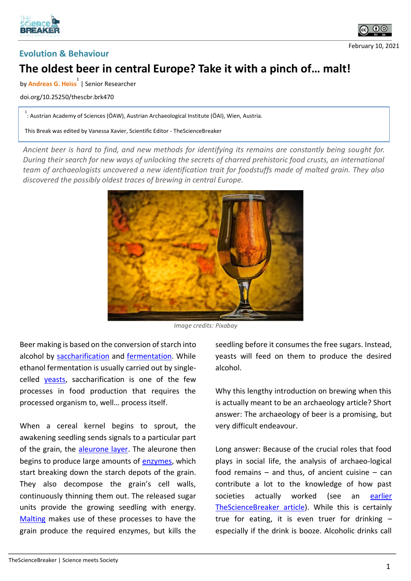



## **Evolution & Behaviour**

February 10, 2021

## **The oldest beer in central Europe? Take it with a pinch of… malt!**

by **Andreas G. Heiss 1** | Senior Researcher

doi.org/10.25250/thescbr.brk470

<sup>1</sup> : Austrian Academy of Sciences (ÖAW), Austrian Archaeological Institute (ÖAI), Wien, Austria.

This Break was edited by Vanessa Xavier, Scientific Editor - TheScienceBreaker

*Ancient beer is hard to find, and new methods for identifying its remains are constantly being sought for. During their search for new ways of unlocking the secrets of charred prehistoric food crusts, an international team of archaeologists uncovered a new identification trait for foodstuffs made of malted grain. They also discovered the possibly oldest traces of brewing in central Europe.* 



*Image credits: Pixabay*

Beer making is based on the conversion of starch into alcohol by saccharification and fermentation. While ethanol fermentation is usually carried out by singlecelled yeasts, saccharification is one of the few processes in food production that requires the processed organism to, well… process itself.

When a cereal kernel begins to sprout, the awakening seedling sends signals to a particular part of the grain, the aleurone layer. The aleurone then begins to produce large amounts of enzymes, which start breaking down the starch depots of the grain. They also decompose the grain's cell walls, continuously thinning them out. The released sugar units provide the growing seedling with energy. Malting makes use of these processes to have the grain produce the required enzymes, but kills the

seedling before it consumes the free sugars. Instead, yeasts will feed on them to produce the desired alcohol.

Why this lengthy introduction on brewing when this is actually meant to be an archaeology article? Short answer: The archaeology of beer is a promising, but very difficult endeavour.

Long answer: Because of the crucial roles that food plays in social life, the analysis of archaeo-logical food remains – and thus, of ancient cuisine – can contribute a lot to the knowledge of how past societies actually worked (see an earlier TheScienceBreaker article). While this is certainly true for eating, it is even truer for drinking – especially if the drink is booze. Alcoholic drinks call